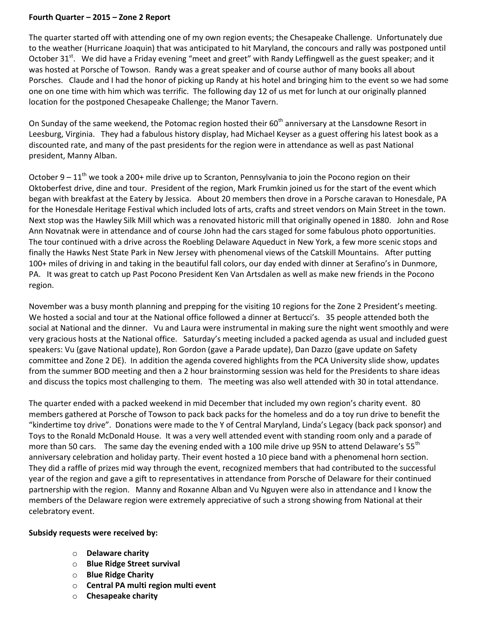## **Fourth Quarter – 2015 – Zone 2 Report**

The quarter started off with attending one of my own region events; the Chesapeake Challenge. Unfortunately due to the weather (Hurricane Joaquin) that was anticipated to hit Maryland, the concours and rally was postponed until October 31<sup>st</sup>. We did have a Friday evening "meet and greet" with Randy Leffingwell as the guest speaker; and it was hosted at Porsche of Towson. Randy was a great speaker and of course author of many books all about Porsches. Claude and I had the honor of picking up Randy at his hotel and bringing him to the event so we had some one on one time with him which was terrific. The following day 12 of us met for lunch at our originally planned location for the postponed Chesapeake Challenge; the Manor Tavern.

On Sunday of the same weekend, the Potomac region hosted their 60<sup>th</sup> anniversary at the Lansdowne Resort in Leesburg, Virginia. They had a fabulous history display, had Michael Keyser as a guest offering his latest book as a discounted rate, and many of the past presidents for the region were in attendance as well as past National president, Manny Alban.

October 9 –  $11<sup>th</sup>$  we took a 200+ mile drive up to Scranton, Pennsylvania to join the Pocono region on their Oktoberfest drive, dine and tour. President of the region, Mark Frumkin joined us for the start of the event which began with breakfast at the Eatery by Jessica. About 20 members then drove in a Porsche caravan to Honesdale, PA for the Honesdale Heritage Festival which included lots of arts, crafts and street vendors on Main Street in the town. Next stop was the Hawley Silk Mill which was a renovated historic mill that originally opened in 1880. John and Rose Ann Novatnak were in attendance and of course John had the cars staged for some fabulous photo opportunities. The tour continued with a drive across the Roebling Delaware Aqueduct in New York, a few more scenic stops and finally the Hawks Nest State Park in New Jersey with phenomenal views of the Catskill Mountains. After putting 100+ miles of driving in and taking in the beautiful fall colors, our day ended with dinner at Serafino's in Dunmore, PA. It was great to catch up Past Pocono President Ken Van Artsdalen as well as make new friends in the Pocono region.

November was a busy month planning and prepping for the visiting 10 regions for the Zone 2 President's meeting. We hosted a social and tour at the National office followed a dinner at Bertucci's. 35 people attended both the social at National and the dinner. Vu and Laura were instrumental in making sure the night went smoothly and were very gracious hosts at the National office. Saturday's meeting included a packed agenda as usual and included guest speakers: Vu (gave National update), Ron Gordon (gave a Parade update), Dan Dazzo (gave update on Safety committee and Zone 2 DE). In addition the agenda covered highlights from the PCA University slide show, updates from the summer BOD meeting and then a 2 hour brainstorming session was held for the Presidents to share ideas and discuss the topics most challenging to them. The meeting was also well attended with 30 in total attendance.

The quarter ended with a packed weekend in mid December that included my own region's charity event. 80 members gathered at Porsche of Towson to pack back packs for the homeless and do a toy run drive to benefit the "kindertime toy drive". Donations were made to the Y of Central Maryland, Linda's Legacy (back pack sponsor) and Toys to the Ronald McDonald House. It was a very well attended event with standing room only and a parade of more than 50 cars. The same day the evening ended with a 100 mile drive up 95N to attend Delaware's 55<sup>th</sup> anniversary celebration and holiday party. Their event hosted a 10 piece band with a phenomenal horn section. They did a raffle of prizes mid way through the event, recognized members that had contributed to the successful year of the region and gave a gift to representatives in attendance from Porsche of Delaware for their continued partnership with the region. Manny and Roxanne Alban and Vu Nguyen were also in attendance and I know the members of the Delaware region were extremely appreciative of such a strong showing from National at their celebratory event.

## **Subsidy requests were received by:**

- o **Delaware charity**
- o **Blue Ridge Street survival**
- o **Blue Ridge Charity**
- o **Central PA multi region multi event**
- o **Chesapeake charity**